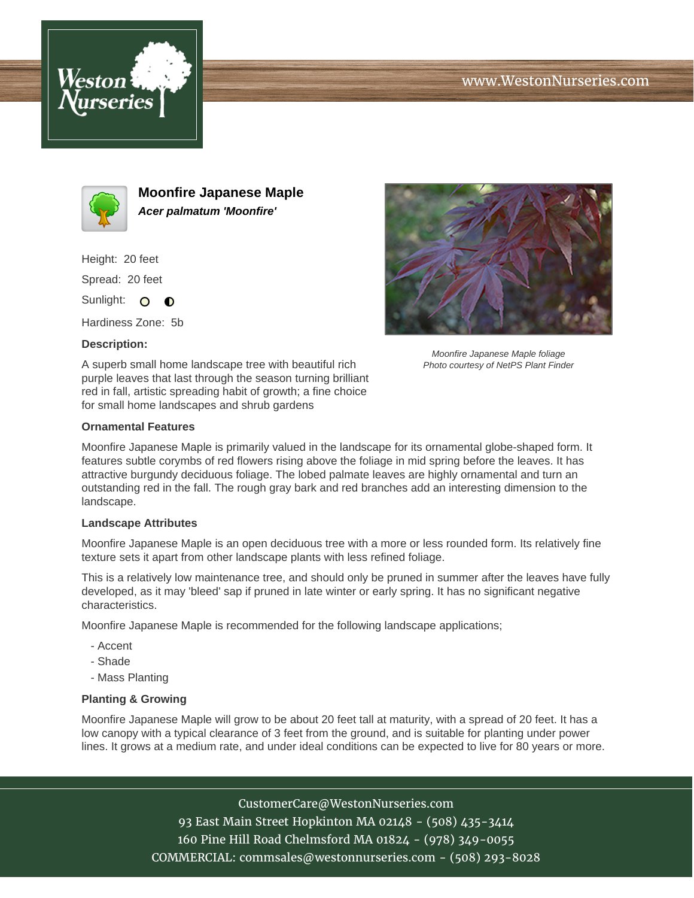





**Moonfire Japanese Maple Acer palmatum 'Moonfire'**

Height: 20 feet Spread: 20 feet

Sunlight: O  $\bullet$ 

Hardiness Zone: 5b

## **Description:**

A superb small home landscape tree with beautiful rich purple leaves that last through the season turning brilliant red in fall, artistic spreading habit of growth; a fine choice for small home landscapes and shrub gardens



Moonfire Japanese Maple foliage Photo courtesy of NetPS Plant Finder

## **Ornamental Features**

Moonfire Japanese Maple is primarily valued in the landscape for its ornamental globe-shaped form. It features subtle corymbs of red flowers rising above the foliage in mid spring before the leaves. It has attractive burgundy deciduous foliage. The lobed palmate leaves are highly ornamental and turn an outstanding red in the fall. The rough gray bark and red branches add an interesting dimension to the landscape.

## **Landscape Attributes**

Moonfire Japanese Maple is an open deciduous tree with a more or less rounded form. Its relatively fine texture sets it apart from other landscape plants with less refined foliage.

This is a relatively low maintenance tree, and should only be pruned in summer after the leaves have fully developed, as it may 'bleed' sap if pruned in late winter or early spring. It has no significant negative characteristics.

Moonfire Japanese Maple is recommended for the following landscape applications;

- Accent
- Shade
- Mass Planting

## **Planting & Growing**

Moonfire Japanese Maple will grow to be about 20 feet tall at maturity, with a spread of 20 feet. It has a low canopy with a typical clearance of 3 feet from the ground, and is suitable for planting under power lines. It grows at a medium rate, and under ideal conditions can be expected to live for 80 years or more.

CustomerCare@WestonNurseries.com

93 East Main Street Hopkinton MA 02148 - (508) 435-3414 160 Pine Hill Road Chelmsford MA 01824 - (978) 349-0055 COMMERCIAL: commsales@westonnurseries.com - (508) 293-8028